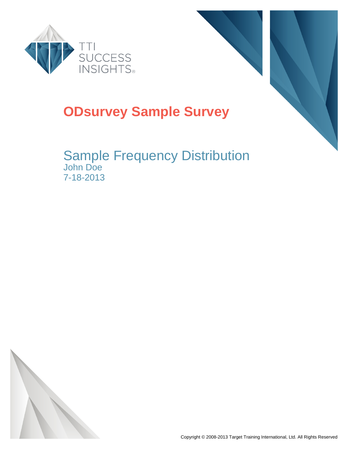



### **ODsurvey Sample Survey**

### Sample Frequency Distribution John Doe 7-18-2013

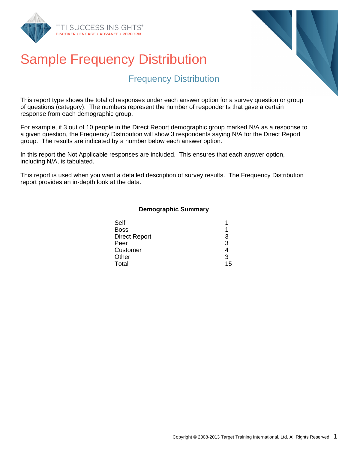



#### Frequency Distribution

This report type shows the total of responses under each answer option for a survey question or group of questions (category). The numbers represent the number of respondents that gave a certain response from each demographic group.

For example, if 3 out of 10 people in the Direct Report demographic group marked N/A as a response to a given question, the Frequency Distribution will show 3 respondents saying N/A for the Direct Report group. The results are indicated by a number below each answer option.

In this report the Not Applicable responses are included. This ensures that each answer option, including N/A, is tabulated.

This report is used when you want a detailed description of survey results. The Frequency Distribution report provides an in-depth look at the data.

#### **Demographic Summary**

| Self                 |    |
|----------------------|----|
| <b>Boss</b>          |    |
| <b>Direct Report</b> | З  |
| Peer                 | 3  |
| Customer             |    |
| Other                | ર  |
| Total                | 15 |
|                      |    |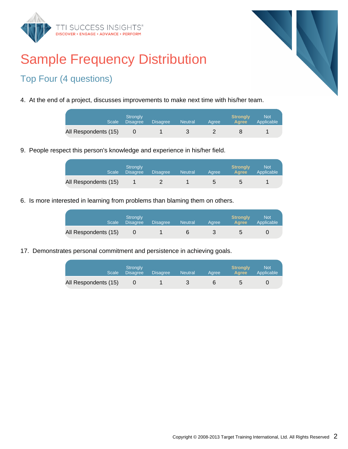



#### Top Four (4 questions)

4. At the end of a project, discusses improvements to make next time with his/her team.

|                      | Stronaly<br>Scale Disagree | <b>Disagree</b> | <b>Neutral</b> | Aaree | <b>Stronaly</b><br><b>Agree</b> | <b>Not</b><br>Applicable |
|----------------------|----------------------------|-----------------|----------------|-------|---------------------------------|--------------------------|
| All Respondents (15) |                            |                 |                |       |                                 |                          |

9. People respect this person's knowledge and experience in his/her field.

| <b>Scale</b>         | <b>Strongly</b><br><b>Disagree</b> | <b>Disagree</b> | <b>Neutral</b> | Aaree | <b>Strongly</b><br><b>A</b> aree | Not<br>Applicable |
|----------------------|------------------------------------|-----------------|----------------|-------|----------------------------------|-------------------|
| All Respondents (15) |                                    |                 |                | b     | G                                |                   |

6. Is more interested in learning from problems than blaming them on others.

| <b>Scale</b>         | Strongly<br><b>Disagree</b> | <b>Disagree</b> | <b>Neutral</b> | Aaree | <b>Strongly</b><br>Agree | <b>Not</b><br>Applicable |
|----------------------|-----------------------------|-----------------|----------------|-------|--------------------------|--------------------------|
| All Respondents (15) |                             |                 |                |       |                          |                          |

17. Demonstrates personal commitment and persistence in achieving goals.

| <b>Scale</b>         | Stronaly<br><b>Disagree</b> | <b>Disagree</b> | <b>Neutral</b> | Aaree | <b>Strongly</b><br><b>Agree</b> | <b>Not</b><br>Applicable |
|----------------------|-----------------------------|-----------------|----------------|-------|---------------------------------|--------------------------|
| All Respondents (15) |                             |                 |                |       | h                               |                          |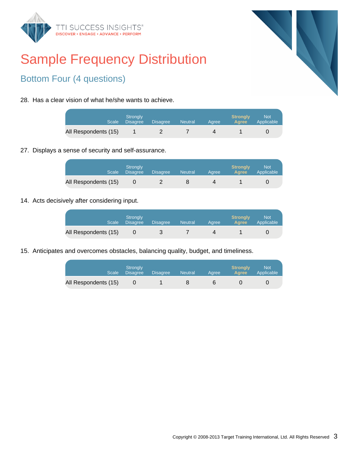



#### Bottom Four (4 questions)

28. Has a clear vision of what he/she wants to achieve.

| Scale                | Stronaly<br><b>Disagree</b> | <b>Disagree</b> | <b>Neutral</b> | Aaree | <b>Strongly</b><br><b>Agree</b> | <b>Not</b><br>Applicable |
|----------------------|-----------------------------|-----------------|----------------|-------|---------------------------------|--------------------------|
| All Respondents (15) |                             |                 |                |       |                                 |                          |

27. Displays a sense of security and self-assurance.

| <b>Scale</b>         | <b>Strongly</b><br><b>Disagree</b> | <b>Disagree</b> | <b>Neutral</b> | Aaree | <b>Strongly</b><br><b>Agree</b> | <b>Not</b><br>Applicable |
|----------------------|------------------------------------|-----------------|----------------|-------|---------------------------------|--------------------------|
| All Respondents (15) |                                    |                 |                |       |                                 |                          |

14. Acts decisively after considering input.

| <b>Scale</b>         | Strongly<br><b>Disagree</b> | Disagree | <b>Neutral</b> | Aaree | <b>Strongly</b><br><b>Agree</b> | Not<br>Applicable |
|----------------------|-----------------------------|----------|----------------|-------|---------------------------------|-------------------|
| All Respondents (15) |                             |          |                |       |                                 |                   |

15. Anticipates and overcomes obstacles, balancing quality, budget, and timeliness.

| Scale                | Stronaly<br><b>Disagree</b> | <b>Disagree</b> | <b>Neutral</b> | Aaree | <b>Strongly</b><br><b>Agree</b> | <b>Not</b><br>Applicable |
|----------------------|-----------------------------|-----------------|----------------|-------|---------------------------------|--------------------------|
| All Respondents (15) |                             |                 |                | h     |                                 |                          |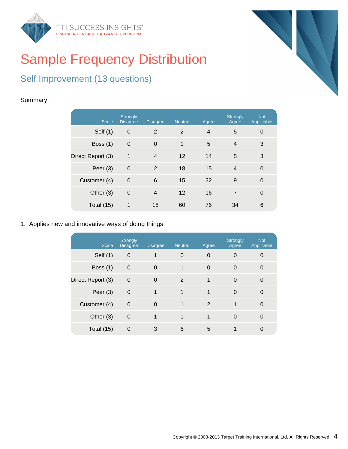



#### Self Improvement (13 questions)

#### Summary:

| <b>Scale</b>      | <b>Strongly</b><br><b>Disagree</b> | <b>Disagree</b> | <b>Neutral</b> | Agree | <b>Strongly</b><br>Agree | <b>Not</b><br>Applicable |
|-------------------|------------------------------------|-----------------|----------------|-------|--------------------------|--------------------------|
| Self $(1)$        | $\overline{0}$                     | 2               | 2              | 4     | 5                        | 0                        |
| Boss $(1)$        | $\overline{0}$                     | $\Omega$        | 1              | 5     | 4                        | 3                        |
| Direct Report (3) | 1                                  | $\overline{4}$  | 12             | 14    | 5                        | 3                        |
| Peer $(3)$        | $\mathbf 0$                        | 2               | 18             | 15    | $\overline{4}$           | 0                        |
| Customer (4)      | $\mathbf 0$                        | 6               | 15             | 22    | 9                        | 0                        |
| Other (3)         | $\mathbf 0$                        | $\overline{4}$  | 12             | 16    | $\overline{7}$           | $\overline{0}$           |
| Total $(15)$      | 1                                  | 18              | 60             | 76    | 34                       | 6                        |

1. Applies new and innovative ways of doing things.

| <b>Scale</b>      | <b>Strongly</b><br><b>Disagree</b> | <b>Disagree</b> | <b>Neutral</b> | Agree          | <b>Strongly</b><br>Agree | <b>Not</b><br>Applicable |
|-------------------|------------------------------------|-----------------|----------------|----------------|--------------------------|--------------------------|
| Self (1)          | $\mathbf 0$                        |                 | $\mathbf 0$    | 0              | $\Omega$                 |                          |
| Boss $(1)$        | $\mathbf 0$                        | $\Omega$        | 1              | $\overline{0}$ | $\Omega$                 | $\Omega$                 |
| Direct Report (3) | $\mathbf 0$                        | $\Omega$        | 2              |                | $\Omega$                 | $\Omega$                 |
| Peer $(3)$        | $\mathbf 0$                        | 1               | 1              |                | $\Omega$                 | $\Omega$                 |
| Customer (4)      | $\mathbf 0$                        | $\Omega$        | 1              | 2              | 1                        | $\Omega$                 |
| Other (3)         | $\mathbf 0$                        |                 | 1              | 1              | $\Omega$                 | $\Omega$                 |
| Total (15)        | 0                                  | 3               | 6              | 5              |                          |                          |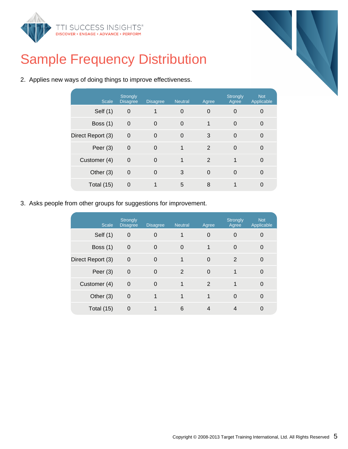



2. Applies new ways of doing things to improve effectiveness.

| <b>Scale</b>      | <b>Strongly</b><br><b>Disagree</b> | <b>Disagree</b> | <b>Neutral</b> | Agree          | <b>Strongly</b><br>Agree | <b>Not</b><br>Applicable |
|-------------------|------------------------------------|-----------------|----------------|----------------|--------------------------|--------------------------|
| Self $(1)$        | $\boldsymbol{0}$                   |                 | $\mathbf 0$    | $\Omega$       | $\Omega$                 | 0                        |
| Boss $(1)$        | $\overline{0}$                     | $\Omega$        | $\mathbf 0$    | 1              | $\Omega$                 | 0                        |
| Direct Report (3) | $\overline{0}$                     | $\Omega$        | $\Omega$       | 3              | $\Omega$                 | $\Omega$                 |
| Peer $(3)$        | $\mathbf 0$                        | $\Omega$        | 1              | $\overline{2}$ | $\Omega$                 | 0                        |
| Customer (4)      | $\overline{0}$                     | $\Omega$        | 1              | 2              | 1                        | $\Omega$                 |
| Other (3)         | $\mathbf 0$                        | $\Omega$        | 3              | 0              | $\Omega$                 | 0                        |
| Total (15)        | $\mathbf 0$                        |                 | 5              | 8              |                          | 0                        |
|                   |                                    |                 |                |                |                          |                          |

3. Asks people from other groups for suggestions for improvement.

| <b>Scale</b>      | <b>Strongly</b><br><b>Disagree</b> | <b>Disagree</b> | <b>Neutral</b> | Agree    | <b>Strongly</b><br>Agree | <b>Not</b><br>Applicable |
|-------------------|------------------------------------|-----------------|----------------|----------|--------------------------|--------------------------|
| Self (1)          | $\mathbf 0$                        | $\Omega$        | 1              | 0        | $\Omega$                 |                          |
| Boss $(1)$        | $\mathbf 0$                        | $\Omega$        | 0              | 1        | $\Omega$                 | $\Omega$                 |
| Direct Report (3) | $\mathbf 0$                        | $\Omega$        | 1              | 0        | 2                        | $\Omega$                 |
| Peer $(3)$        | $\overline{0}$                     | $\Omega$        | 2              | $\Omega$ | 1                        | $\Omega$                 |
| Customer (4)      | $\mathbf 0$                        | $\Omega$        | 1              | 2        | 1                        | $\Omega$                 |
| Other $(3)$       | $\mathbf 0$                        | 1               | 1              | 1        | $\Omega$                 | $\Omega$                 |
| Total $(15)$      | $\overline{0}$                     |                 | 6              | 4        |                          |                          |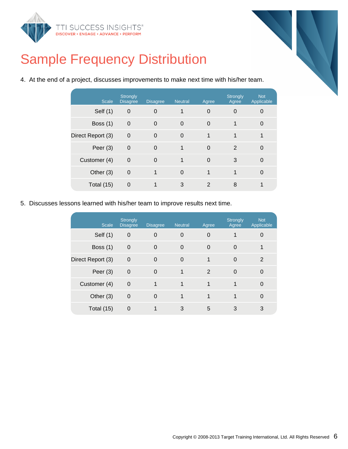



4. At the end of a project, discusses improvements to make next time with his/her team.

| <b>Scale</b>      | <b>Strongly</b><br><b>Disagree</b> | <b>Disagree</b> | <b>Neutral</b> | Agree       | Strongly<br>Agree | <b>Not</b><br>Applicable |
|-------------------|------------------------------------|-----------------|----------------|-------------|-------------------|--------------------------|
| Self (1)          | 0                                  | $\overline{0}$  | 1              | 0           | 0                 | 0                        |
| Boss $(1)$        | $\mathbf 0$                        | $\Omega$        | $\mathbf 0$    | $\Omega$    | 1                 | $\Omega$                 |
| Direct Report (3) | $\overline{0}$                     | $\Omega$        | $\Omega$       | 1           | 1                 |                          |
| Peer $(3)$        | $\overline{0}$                     | $\Omega$        | 1              | $\Omega$    | 2                 | 0                        |
| Customer (4)      | $\overline{0}$                     | $\Omega$        | 1              | $\Omega$    | 3                 | 0                        |
| Other (3)         | $\mathbf 0$                        |                 | $\overline{0}$ | $\mathbf 1$ | 1                 | 0                        |
| Total $(15)$      | 0                                  |                 | 3              | 2           | 8                 |                          |

5. Discusses lessons learned with his/her team to improve results next time.

| <b>Scale</b>      | <b>Strongly</b><br><b>Disagree</b> | <b>Disagree</b> | <b>Neutral</b> | Agree    | <b>Strongly</b><br>Agree | <b>Not</b><br>Applicable |
|-------------------|------------------------------------|-----------------|----------------|----------|--------------------------|--------------------------|
| Self (1)          | $\boldsymbol{0}$                   | $\Omega$        | $\overline{0}$ | 0        |                          | 0                        |
| Boss $(1)$        | $\overline{0}$                     | $\Omega$        | $\overline{0}$ | $\Omega$ | 0                        |                          |
| Direct Report (3) | $\overline{0}$                     | $\Omega$        | $\Omega$       | 1        | $\Omega$                 | 2                        |
| Peer $(3)$        | $\mathbf 0$                        | $\Omega$        | 1              | 2        | $\Omega$                 | $\Omega$                 |
| Customer (4)      | $\mathbf 0$                        | 1               | 1              | 1        |                          | $\Omega$                 |
| Other $(3)$       | $\mathbf 0$                        | $\Omega$        | 1              | 1        |                          | $\Omega$                 |
| Total (15)        | 0                                  |                 | 3              | 5        | 3                        | 3                        |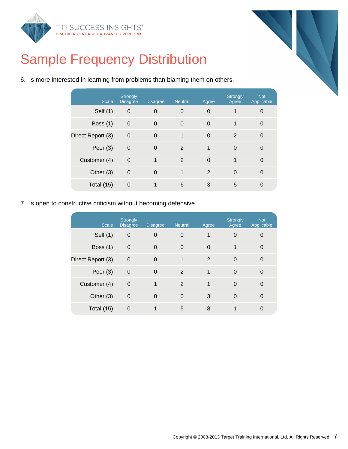



6. Is more interested in learning from problems than blaming them on others.

| <b>Scale</b>      | <b>Strongly</b><br><b>Disagree</b> | <b>Disagree</b> | <b>Neutral</b> | Agree          | <b>Strongly</b><br>Agree | <b>Not</b><br>Applicable |
|-------------------|------------------------------------|-----------------|----------------|----------------|--------------------------|--------------------------|
| Self (1)          | $\mathbf 0$                        | $\overline{0}$  | 0              | 0              | 1                        | 0                        |
| Boss $(1)$        | $\mathbf 0$                        | $\Omega$        | $\Omega$       | $\Omega$       | 1                        | 0                        |
| Direct Report (3) | $\mathbf 0$                        | $\Omega$        | 1              | $\Omega$       | 2                        | $\Omega$                 |
| Peer $(3)$        | $\mathbf 0$                        | $\Omega$        | 2              | 1              | $\Omega$                 | $\Omega$                 |
| Customer (4)      | $\Omega$                           | 1               | 2              | 0              | 1                        | 0                        |
| Other (3)         | $\mathbf 0$                        | $\Omega$        | 1              | $\overline{2}$ | $\Omega$                 | $\Omega$                 |
| Total (15)        | 0                                  |                 | 6              | 3              | 5                        | 0                        |

7. Is open to constructive criticism without becoming defensive.

| <b>Scale</b>      | <b>Strongly</b><br><b>Disagree</b> | <b>Disagree</b> | <b>Neutral</b> | Agree | Strongly<br>Agree | <b>Not</b><br>Applicable |
|-------------------|------------------------------------|-----------------|----------------|-------|-------------------|--------------------------|
| Self $(1)$        | $\overline{0}$                     | $\Omega$        | 0              |       | $\Omega$          |                          |
| <b>Boss (1)</b>   | $\overline{0}$                     | $\Omega$        | $\Omega$       | 0     | 1                 | 0                        |
| Direct Report (3) | $\mathbf 0$                        | $\Omega$        | 1              | 2     | $\Omega$          | $\Omega$                 |
| Peer $(3)$        | $\mathbf 0$                        | $\Omega$        | 2              | 1     | 0                 | 0                        |
| Customer (4)      | $\overline{0}$                     | 1               | 2              | 1     | $\Omega$          | $\Omega$                 |
| Other (3)         | $\mathbf 0$                        | $\Omega$        | $\Omega$       | 3     | $\Omega$          | $\Omega$                 |
| Total (15)        | $\Omega$                           |                 | 5              | 8     |                   |                          |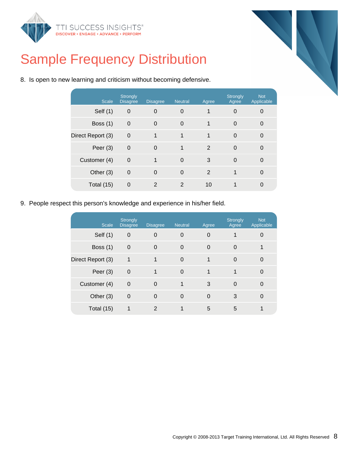



|  |  | 8. Is open to new learning and criticism without becoming defensive. |
|--|--|----------------------------------------------------------------------|
|  |  |                                                                      |

| <b>Scale</b>      | <b>Strongly</b><br><b>Disagree</b> | <b>Disagree</b> | <b>Neutral</b> | Agree          | Strongly<br>Agree | <b>Not</b><br>Applicable |
|-------------------|------------------------------------|-----------------|----------------|----------------|-------------------|--------------------------|
| Self (1)          | $\overline{0}$                     | $\Omega$        | 0              | 1              | $\Omega$          | 0                        |
| Boss $(1)$        | $\mathbf 0$                        | $\Omega$        | 0              | 1              | $\Omega$          | 0                        |
| Direct Report (3) | $\overline{0}$                     | $\mathbf 1$     | 1              | 1              | $\Omega$          | $\Omega$                 |
| Peer $(3)$        | $\mathbf 0$                        | $\Omega$        | 1              | $\overline{2}$ | $\Omega$          | $\Omega$                 |
| Customer (4)      | $\mathbf 0$                        | 1               | $\mathbf 0$    | 3              | $\Omega$          | 0                        |
| Other $(3)$       | $\mathbf 0$                        | $\Omega$        | $\mathbf 0$    | $\overline{2}$ | 1                 | $\Omega$                 |
| Total (15)        | $\mathbf 0$                        | 2               | 2              | 10             |                   | 0                        |
|                   |                                    |                 |                |                |                   |                          |

9. People respect this person's knowledge and experience in his/her field.

| <b>Scale</b>      | <b>Strongly</b><br><b>Disagree</b> | <b>Disagree</b> | <b>Neutral</b> | Agree    | <b>Strongly</b><br>Agree | <b>Not</b><br>Applicable |
|-------------------|------------------------------------|-----------------|----------------|----------|--------------------------|--------------------------|
| Self (1)          | $\Omega$                           | $\Omega$        | $\Omega$       | 0        |                          | 0                        |
| Boss $(1)$        | $\mathbf 0$                        | $\Omega$        | 0              | 0        | $\Omega$                 |                          |
| Direct Report (3) | $\mathbf 1$                        |                 | $\Omega$       | 1        | $\Omega$                 | $\Omega$                 |
| Peer $(3)$        | $\mathbf 0$                        | 1               | $\Omega$       | 1        | 1                        | 0                        |
| Customer (4)      | $\overline{0}$                     | $\Omega$        | 1              | 3        | $\Omega$                 | $\Omega$                 |
| Other (3)         | $\mathbf 0$                        | $\Omega$        | $\Omega$       | $\Omega$ | 3                        | $\Omega$                 |
| Total (15)        | 1                                  | 2               |                | 5        | 5                        |                          |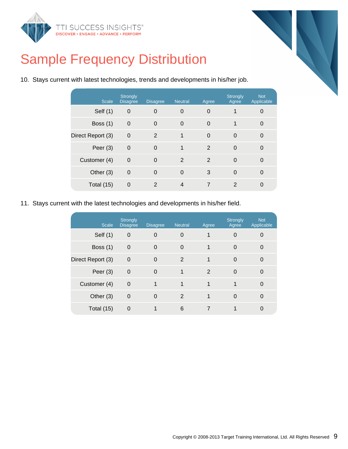



|  | 10. Stays current with latest technologies, trends and developments in his/her job. |  |  |  |
|--|-------------------------------------------------------------------------------------|--|--|--|
|  |                                                                                     |  |  |  |

| <b>Scale</b>      | <b>Strongly</b><br><b>Disagree</b> | <b>Disagree</b> | <b>Neutral</b> | Agree          | <b>Strongly</b><br>Agree | <b>Not</b><br>Applicable |
|-------------------|------------------------------------|-----------------|----------------|----------------|--------------------------|--------------------------|
| Self (1)          | $\mathbf 0$                        | $\overline{0}$  | 0              | $\overline{0}$ |                          | 0                        |
| Boss $(1)$        | $\mathbf 0$                        | $\Omega$        | 0              | $\mathbf 0$    | 1                        | $\Omega$                 |
| Direct Report (3) | $\mathbf 0$                        | 2               | 1              | $\Omega$       | $\Omega$                 | $\Omega$                 |
| Peer $(3)$        | $\mathbf 0$                        | $\Omega$        | 1              | 2              | $\Omega$                 | 0                        |
| Customer (4)      | $\Omega$                           | $\Omega$        | 2              | 2              | $\Omega$                 | $\Omega$                 |
| Other $(3)$       | $\mathbf 0$                        | $\Omega$        | $\Omega$       | 3              | 0                        | $\Omega$                 |
| Total (15)        | $\mathbf 0$                        | 2               | $\overline{4}$ | $\overline{7}$ | 2                        | $\Omega$                 |

11. Stays current with the latest technologies and developments in his/her field.

| <b>Scale</b>      | <b>Strongly</b><br><b>Disagree</b> | <b>Disagree</b> | <b>Neutral</b> | Agree | <b>Strongly</b><br>Agree | <b>Not</b><br>Applicable |
|-------------------|------------------------------------|-----------------|----------------|-------|--------------------------|--------------------------|
| Self $(1)$        | 0                                  | $\overline{0}$  | $\Omega$       | 1     | $\Omega$                 |                          |
| Boss $(1)$        | $\mathbf 0$                        | $\Omega$        | $\Omega$       | 1     | $\Omega$                 | 0                        |
| Direct Report (3) | $\mathbf 0$                        | $\Omega$        | 2              | 1     | $\Omega$                 | 0                        |
| Peer $(3)$        | $\mathbf 0$                        | $\Omega$        | 1              | 2     | $\Omega$                 | 0                        |
| Customer (4)      | $\mathbf 0$                        | 1               | 1              | 1     | 1                        | 0                        |
| Other (3)         | $\mathbf 0$                        | $\Omega$        | 2              | 1     | $\Omega$                 |                          |
| Total $(15)$      | $\Omega$                           |                 | 6              |       |                          |                          |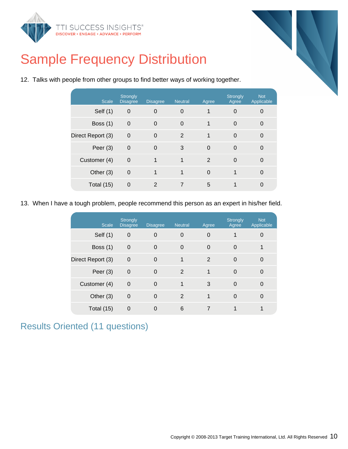



| <b>Scale</b>      | <b>Strongly</b><br><b>Disagree</b> | <b>Disagree</b> | <b>Neutral</b> | Agree    | <b>Strongly</b><br>Agree | <b>Not</b><br>Applicable |
|-------------------|------------------------------------|-----------------|----------------|----------|--------------------------|--------------------------|
| Self (1)          | 0                                  | 0               | $\mathbf 0$    |          | 0                        | 0                        |
| Boss $(1)$        | $\mathbf 0$                        | 0               | $\Omega$       | 1        | 0                        | $\mathbf 0$              |
| Direct Report (3) | $\overline{0}$                     | 0               | 2              | 1        | 0                        | $\Omega$                 |
| Peer $(3)$        | $\mathbf 0$                        | 0               | 3              | $\Omega$ | $\mathbf 0$              | $\Omega$                 |
| Customer (4)      | $\overline{0}$                     | 1               | 1              | 2        | $\Omega$                 | $\Omega$                 |
| Other $(3)$       | $\mathbf 0$                        | 1               | $\mathbf 1$    | $\Omega$ | 1                        | $\Omega$                 |
| Total $(15)$      | 0                                  | 2               | 7              | 5        | 1                        | 0                        |
|                   |                                    |                 |                |          |                          |                          |

12. Talks with people from other groups to find better ways of working together.

13. When I have a tough problem, people recommend this person as an expert in his/her field.

| <b>Scale</b>      | Strongly<br><b>Disagree</b> | <b>Disagree</b> | <b>Neutral</b> | Agree | Strongly<br>Agree | <b>Not</b><br>Applicable |
|-------------------|-----------------------------|-----------------|----------------|-------|-------------------|--------------------------|
| Self (1)          | $\mathbf 0$                 | 0               | 0              | 0     | 1                 | 0                        |
| Boss $(1)$        | $\mathbf 0$                 | 0               | $\Omega$       | 0     | 0                 |                          |
| Direct Report (3) | $\Omega$                    | $\Omega$        |                | 2     | $\Omega$          | 0                        |
| Peer $(3)$        | $\mathbf 0$                 | 0               | 2              | 1     | $\Omega$          | 0                        |
| Customer (4)      | $\Omega$                    | $\Omega$        |                | 3     | $\Omega$          | $\Omega$                 |
| Other $(3)$       | $\mathbf 0$                 | $\Omega$        | 2              | 1     | $\Omega$          | $\Omega$                 |
| Total $(15)$      | $\Omega$                    | 0               | 6              |       |                   |                          |

### Results Oriented (11 questions)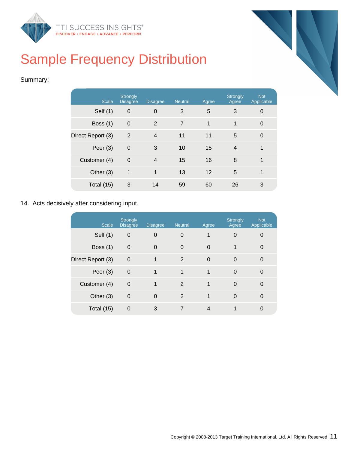



#### Summary:

| <b>Scale</b>      | <b>Strongly</b><br><b>Disagree</b> | <b>Disagree</b> | <b>Neutral</b> | Agree | Strongly<br>Agree | <b>Not</b><br>Applicable |
|-------------------|------------------------------------|-----------------|----------------|-------|-------------------|--------------------------|
| Self (1)          | $\mathbf 0$                        | $\overline{0}$  | 3              | 5     | 3                 | 0                        |
| Boss $(1)$        | $\mathbf 0$                        | 2               | $\overline{7}$ | 1     | 1                 | $\overline{0}$           |
| Direct Report (3) | $\overline{2}$                     | $\overline{4}$  | 11             | 11    | 5                 | $\Omega$                 |
| Peer $(3)$        | $\mathbf 0$                        | 3               | 10             | 15    | $\overline{4}$    | 1                        |
| Customer (4)      | $\Omega$                           | $\overline{4}$  | 15             | 16    | 8                 | 1                        |
| Other $(3)$       | 1                                  | 1               | 13             | 12    | 5                 | 1                        |
| Total (15)        | 3                                  | 14              | 59             | 60    | 26                | 3                        |

#### 14. Acts decisively after considering input.

| <b>Scale</b>      | <b>Strongly</b><br><b>Disagree</b> | <b>Disagree</b> | <b>Neutral</b> | Agree    | Strongly<br>Agree | <b>Not</b><br>Applicable |
|-------------------|------------------------------------|-----------------|----------------|----------|-------------------|--------------------------|
| Self (1)          | $\mathbf 0$                        | $\overline{0}$  | 0              |          | 0                 | O                        |
| Boss $(1)$        | $\mathbf 0$                        | $\Omega$        | $\Omega$       | $\Omega$ | 1                 | $\Omega$                 |
| Direct Report (3) | $\mathbf 0$                        |                 | 2              | $\Omega$ | $\Omega$          | $\Omega$                 |
| Peer $(3)$        | $\mathbf 0$                        | $\mathbf{1}$    | 1              | 1        | $\Omega$          | $\Omega$                 |
| Customer (4)      | $\Omega$                           | 1               | 2              | 1        | $\Omega$          | $\Omega$                 |
| Other $(3)$       | $\mathbf 0$                        | $\Omega$        | 2              | 1        | $\Omega$          | $\Omega$                 |
| Total (15)        | $\Omega$                           | 3               | 7              | 4        |                   | 0                        |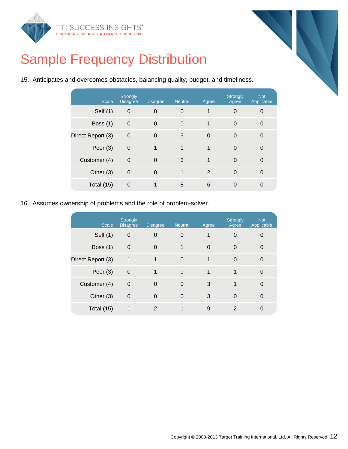



15. Anticipates and overcomes obstacles, balancing quality, budget, and timeliness.

| <b>Scale</b>      | <b>Strongly</b><br><b>Disagree</b> | <b>Disagree</b> | <b>Neutral</b> | Agree    | Strongly<br>Agree | <b>Not</b><br>Applicable |
|-------------------|------------------------------------|-----------------|----------------|----------|-------------------|--------------------------|
| Self (1)          | $\mathbf 0$                        | $\overline{0}$  | $\overline{0}$ | 1        | $\Omega$          | 0                        |
| Boss $(1)$        | $\mathbf 0$                        | $\mathbf 0$     | $\mathbf 0$    | 1        | $\Omega$          | 0                        |
| Direct Report (3) | $\mathbf 0$                        | $\Omega$        | 3              | $\Omega$ | $\Omega$          | $\Omega$                 |
| Peer $(3)$        | $\mathbf 0$                        | 1               | 1              | 1        | $\Omega$          | $\Omega$                 |
| Customer (4)      | $\mathbf 0$                        | $\Omega$        | 3              | 1        | $\Omega$          | $\Omega$                 |
| Other (3)         | $\mathbf 0$                        | $\Omega$        | 1              | 2        | $\Omega$          | 0                        |
| Total (15)        | $\mathbf 0$                        |                 | 8              | 6        | 0                 | 0                        |

16. Assumes ownership of problems and the role of problem-solver.

| <b>Scale</b>      | <b>Strongly</b><br><b>Disagree</b> | <b>Disagree</b> | <b>Neutral</b> | Agree | <b>Strongly</b><br>Agree | <b>Not</b><br>Applicable |
|-------------------|------------------------------------|-----------------|----------------|-------|--------------------------|--------------------------|
| Self (1)          | $\overline{0}$                     | $\Omega$        | 0              | 1     | $\Omega$                 |                          |
| Boss $(1)$        | $\overline{0}$                     | $\Omega$        | 1              | 0     | 0                        | $\Omega$                 |
| Direct Report (3) | 1                                  | 1               | $\Omega$       | 1     | $\Omega$                 | $\Omega$                 |
| Peer $(3)$        | $\mathbf 0$                        | 1               | $\Omega$       | 1     | 1                        | $\Omega$                 |
| Customer (4)      | $\overline{0}$                     | $\Omega$        | $\Omega$       | 3     | 1                        | $\Omega$                 |
| Other $(3)$       | $\mathbf 0$                        | $\Omega$        | $\Omega$       | 3     | $\Omega$                 | $\Omega$                 |
| Total $(15)$      | 1                                  | $\mathcal{P}$   |                | 9     | $\mathcal{P}$            |                          |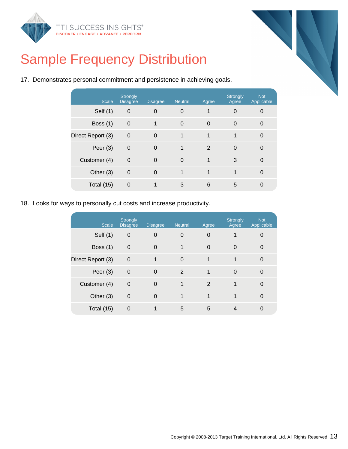



| 17. Demonstrates personal commitment and persistence in achieving goals. |  |  |  |  |
|--------------------------------------------------------------------------|--|--|--|--|
|                                                                          |  |  |  |  |

| <b>Scale</b>      | <b>Strongly</b><br><b>Disagree</b> | <b>Disagree</b> | <b>Neutral</b> | Agree          | <b>Strongly</b><br>Agree | <b>Not</b><br>Applicable |
|-------------------|------------------------------------|-----------------|----------------|----------------|--------------------------|--------------------------|
| Self (1)          | $\mathbf 0$                        | 0               | 0              | 1              | $\Omega$                 | 0                        |
| Boss $(1)$        | $\mathbf 0$                        | 1               | $\mathbf 0$    | $\overline{0}$ | $\Omega$                 | $\Omega$                 |
| Direct Report (3) | $\Omega$                           | $\Omega$        | 1              | 1              | 1                        | $\Omega$                 |
| Peer $(3)$        | $\mathbf 0$                        | $\Omega$        | 1              | 2              | $\Omega$                 | 0                        |
| Customer (4)      | $\Omega$                           | $\Omega$        | $\Omega$       | 1              | 3                        | $\Omega$                 |
| Other (3)         | $\mathbf 0$                        | $\Omega$        | 1              | 1              | 1                        | $\Omega$                 |
| Total (15)        | $\mathbf 0$                        |                 | 3              | 6              | 5                        | 0                        |

18. Looks for ways to personally cut costs and increase productivity.

| <b>Scale</b>      | <b>Strongly</b><br><b>Disagree</b> | <b>Disagree</b> | <b>Neutral</b> | Agree | <b>Strongly</b><br>Agree | <b>Not</b><br>Applicable |
|-------------------|------------------------------------|-----------------|----------------|-------|--------------------------|--------------------------|
| Self $(1)$        | $\boldsymbol{0}$                   | $\Omega$        | 0              | 0     |                          | 0                        |
| Boss $(1)$        | $\overline{0}$                     | $\Omega$        | 1              | 0     | 0                        | 0                        |
| Direct Report (3) | $\overline{0}$                     | 1               | $\Omega$       | 1     | 1                        | $\Omega$                 |
| Peer $(3)$        | $\mathbf 0$                        | $\Omega$        | 2              | 1     | $\Omega$                 | 0                        |
| Customer (4)      | $\mathbf 0$                        | $\Omega$        | 1              | 2     | 1                        | $\Omega$                 |
| Other (3)         | $\mathbf 0$                        | $\Omega$        | 1              | 1     | 1                        | $\Omega$                 |
| Total (15)        | $\Omega$                           |                 | 5              | 5     |                          | 0                        |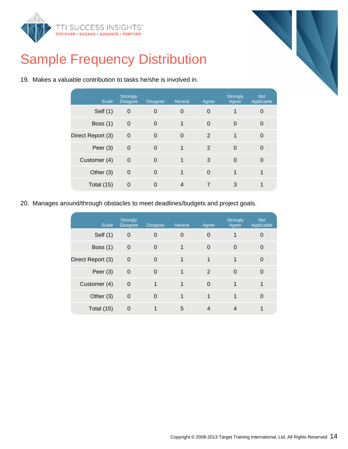



|  |  |  | 19. Makes a valuable contribution to tasks he/she is involved in. |  |  |  |
|--|--|--|-------------------------------------------------------------------|--|--|--|
|--|--|--|-------------------------------------------------------------------|--|--|--|

| <b>Scale</b>      | <b>Strongly</b><br><b>Disagree</b> | <b>Disagree</b> | <b>Neutral</b> | Agree          | Strongly<br>Agree | <b>Not</b><br>Applicable |
|-------------------|------------------------------------|-----------------|----------------|----------------|-------------------|--------------------------|
| Self $(1)$        | 0                                  | $\Omega$        | $\mathbf 0$    | 0              |                   | 0                        |
| Boss $(1)$        | $\overline{0}$                     | $\Omega$        | 1              | 0              | 0                 | 0                        |
| Direct Report (3) | $\mathbf 0$                        | $\Omega$        | $\Omega$       | 2              | 1                 | $\Omega$                 |
| Peer $(3)$        | $\mathbf 0$                        | $\Omega$        | 1              | $\overline{2}$ | $\Omega$          | 0                        |
| Customer (4)      | $\mathbf 0$                        | $\Omega$        | 1              | 3              | $\Omega$          | $\Omega$                 |
| Other $(3)$       | $\mathbf 0$                        | $\Omega$        | 1              | $\Omega$       | 1                 | 1                        |
| Total $(15)$      | 0                                  | 0               | 4              | 7              | 3                 |                          |
|                   |                                    |                 |                |                |                   |                          |

20. Manages around/through obstacles to meet deadlines/budgets and project goals.

| <b>Scale</b>      | <b>Strongly</b><br><b>Disagree</b> | <b>Disagree</b> | <b>Neutral</b> | Agree    | Strongly<br>Agree | <b>Not</b><br>Applicable |
|-------------------|------------------------------------|-----------------|----------------|----------|-------------------|--------------------------|
| Self (1)          | $\mathbf 0$                        | $\Omega$        | 0              | 0        |                   |                          |
| Boss $(1)$        | $\mathbf 0$                        | $\Omega$        | 1              | 0        | $\Omega$          | 0                        |
| Direct Report (3) | $\mathbf 0$                        | $\Omega$        | 1              | 1        | 1                 | $\Omega$                 |
| Peer $(3)$        | $\overline{0}$                     | $\Omega$        | 1              | 2        | $\Omega$          | $\Omega$                 |
| Customer (4)      | $\mathbf 0$                        |                 | 1              | $\Omega$ |                   |                          |
| Other (3)         | $\mathbf 0$                        | $\Omega$        | 1              | 1        |                   |                          |
| Total (15)        | $\Omega$                           |                 | 5              | 4        |                   |                          |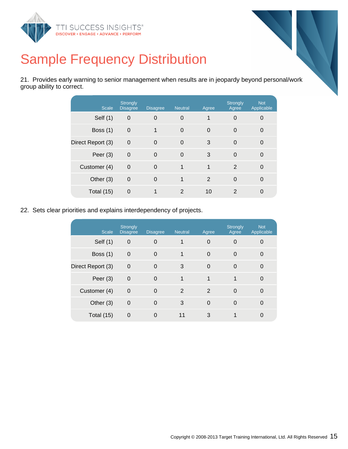

21. Provides early warning to senior management when results are in jeopardy beyond personal/work group ability to correct.

| <b>Scale</b>      | <b>Strongly</b><br><b>Disagree</b> | <b>Disagree</b> | <b>Neutral</b> | Agree | Strongly<br>Agree | <b>Not</b><br>Applicable |
|-------------------|------------------------------------|-----------------|----------------|-------|-------------------|--------------------------|
| Self (1)          | $\mathbf 0$                        | $\Omega$        | $\Omega$       | 1     | $\Omega$          | 0                        |
| <b>Boss (1)</b>   | $\mathbf 0$                        | 1               | $\Omega$       | 0     | $\Omega$          | $\Omega$                 |
| Direct Report (3) | $\Omega$                           | $\Omega$        | $\Omega$       | 3     | $\Omega$          | $\Omega$                 |
| Peer $(3)$        | $\mathbf 0$                        | $\Omega$        | $\overline{0}$ | 3     | $\Omega$          | $\Omega$                 |
| Customer (4)      | $\Omega$                           | $\Omega$        | 1              | 1     | 2                 | $\Omega$                 |
| Other $(3)$       | $\mathbf 0$                        | $\Omega$        | 1              | 2     | $\Omega$          | $\Omega$                 |
| Total (15)        | $\Omega$                           |                 | $\mathcal{P}$  | 10    | 2                 | 0                        |

22. Sets clear priorities and explains interdependency of projects.

| <b>Scale</b>      | <b>Strongly</b><br><b>Disagree</b> | <b>Disagree</b> | <b>Neutral</b> | Agree    | <b>Strongly</b><br>Agree | <b>Not</b><br>Applicable |
|-------------------|------------------------------------|-----------------|----------------|----------|--------------------------|--------------------------|
| Self (1)          | $\overline{0}$                     | $\Omega$        | 1              | $\Omega$ | 0                        | 0                        |
| Boss $(1)$        | $\overline{0}$                     | $\Omega$        | 1              | $\Omega$ | 0                        | $\Omega$                 |
| Direct Report (3) | $\overline{0}$                     | $\Omega$        | 3              | $\Omega$ | $\Omega$                 | $\Omega$                 |
| Peer $(3)$        | $\mathbf 0$                        | $\Omega$        | 1              | 1        | 1                        | $\Omega$                 |
| Customer (4)      | $\overline{0}$                     | $\Omega$        | 2              | 2        | $\Omega$                 | $\Omega$                 |
| Other (3)         | $\mathbf 0$                        | $\Omega$        | 3              | $\Omega$ | $\Omega$                 | $\Omega$                 |
| Total $(15)$      | $\overline{0}$                     | 0               | 11             | 3        |                          | 0                        |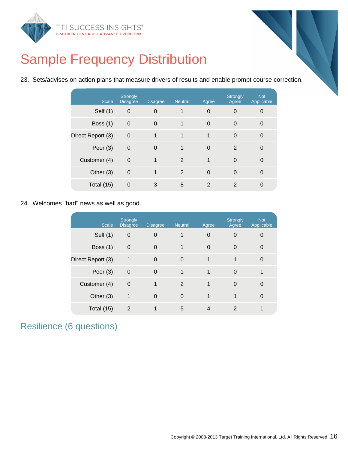

23. Sets/advises on action plans that measure drivers of results and enable prompt course correction.

| <b>Scale</b>      | <b>Strongly</b><br><b>Disagree</b> | <b>Disagree</b> | <b>Neutral</b> | Agree         | <b>Strongly</b><br>Agree | <b>Not</b><br>Applicable |
|-------------------|------------------------------------|-----------------|----------------|---------------|--------------------------|--------------------------|
| Self (1)          | $\mathbf 0$                        | $\overline{0}$  |                | 0             | 0                        | 0                        |
| Boss $(1)$        | $\mathbf 0$                        | $\Omega$        | 1              | $\mathbf 0$   | $\Omega$                 | 0                        |
| Direct Report (3) | $\overline{0}$                     | 1               | 1              | 1             | $\Omega$                 | 0                        |
| Peer $(3)$        | $\mathbf 0$                        | $\Omega$        | 1              | 0             | 2                        | $\Omega$                 |
| Customer (4)      | $\Omega$                           | 1               | 2              | 1             | $\Omega$                 | $\Omega$                 |
| Other (3)         | $\mathbf 0$                        | 1               | $\overline{2}$ | $\Omega$      | $\Omega$                 | 0                        |
| Total (15)        | 0                                  | 3               | 8              | $\mathcal{P}$ | $\mathcal{P}$            | 0                        |

24. Welcomes "bad" news as well as good.

| <b>Scale</b>      | <b>Strongly</b><br><b>Disagree</b> | <b>Disagree</b> | <b>Neutral</b> | Agree        | Strongly<br>Agree | <b>Not</b><br>Applicable |
|-------------------|------------------------------------|-----------------|----------------|--------------|-------------------|--------------------------|
| Self $(1)$        | $\mathbf 0$                        | 0               |                | $\Omega$     | 0                 | 0                        |
| Boss $(1)$        | $\mathbf 0$                        | $\Omega$        |                | $\Omega$     | $\Omega$          | 0                        |
| Direct Report (3) | 1                                  | $\Omega$        | $\Omega$       | $\mathbf 1$  | 1                 | $\Omega$                 |
| Peer $(3)$        | $\mathbf 0$                        | $\Omega$        | $\mathbf{1}$   | $\mathbf{1}$ | $\Omega$          |                          |
| Customer (4)      | $\mathbf 0$                        |                 | 2              | 1            | $\Omega$          | $\Omega$                 |
| Other $(3)$       | 1                                  | $\Omega$        | $\Omega$       | $\mathbf{1}$ | 1                 | 0                        |
| Total (15)        | 2                                  |                 | 5              | 4            | $\mathcal{P}$     |                          |

Resilience (6 questions)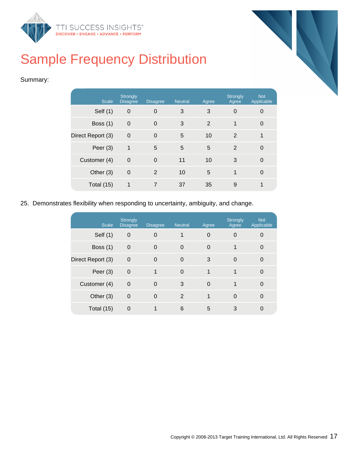



#### Summary:

| <b>Scale</b>      | <b>Strongly</b><br><b>Disagree</b> | <b>Disagree</b> | <b>Neutral</b> | Agree | <b>Strongly</b><br>Agree | <b>Not</b><br>Applicable |
|-------------------|------------------------------------|-----------------|----------------|-------|--------------------------|--------------------------|
| Self (1)          | $\boldsymbol{0}$                   | $\Omega$        | 3              | 3     | $\Omega$                 | 0                        |
| Boss $(1)$        | $\mathbf 0$                        | $\Omega$        | 3              | 2     | 1                        | $\Omega$                 |
| Direct Report (3) | $\mathbf 0$                        | $\Omega$        | 5              | 10    | 2                        | 1                        |
| Peer $(3)$        | 1                                  | 5               | 5              | 5     | $\overline{2}$           | 0                        |
| Customer (4)      | $\mathbf 0$                        | $\Omega$        | 11             | 10    | 3                        | $\overline{0}$           |
| Other $(3)$       | $\Omega$                           | 2               | 10             | 5     | 1                        | $\Omega$                 |
| Total (15)        | 1                                  | $\overline{7}$  | 37             | 35    | 9                        | 1                        |

#### 25. Demonstrates flexibility when responding to uncertainty, ambiguity, and change.

| <b>Scale</b>      | <b>Strongly</b><br><b>Disagree</b> | <b>Disagree</b> | <b>Neutral</b> | Agree    | <b>Strongly</b><br>Agree | <b>Not</b><br>Applicable |
|-------------------|------------------------------------|-----------------|----------------|----------|--------------------------|--------------------------|
| Self (1)          | $\overline{0}$                     | $\Omega$        | 1              | 0        | $\Omega$                 | 0                        |
| Boss $(1)$        | $\overline{0}$                     | $\Omega$        | $\Omega$       | $\Omega$ | 1                        | $\Omega$                 |
| Direct Report (3) | $\overline{0}$                     | $\Omega$        | $\Omega$       | 3        | $\Omega$                 | $\Omega$                 |
| Peer $(3)$        | $\mathbf 0$                        | 1               | $\Omega$       | 1        | 1                        | $\Omega$                 |
| Customer (4)      | $\mathbf 0$                        | $\Omega$        | 3              | $\Omega$ |                          | $\Omega$                 |
| Other $(3)$       | $\mathbf 0$                        | $\Omega$        | $\overline{2}$ | 1        | $\Omega$                 | $\Omega$                 |
| Total (15)        | $\Omega$                           |                 | 6              | 5        | 3                        |                          |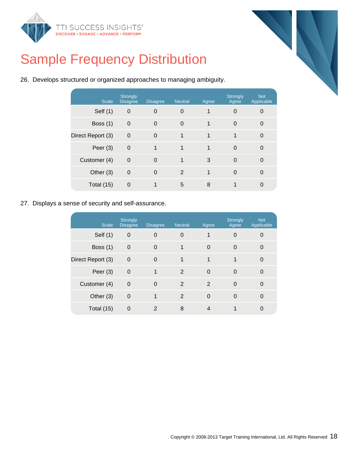



|  |  | 26. Develops structured or organized approaches to managing ambiguity. |  |
|--|--|------------------------------------------------------------------------|--|
|  |  |                                                                        |  |

| <b>Scale</b>      | <b>Strongly</b><br><b>Disagree</b> | <b>Disagree</b> | <b>Neutral</b> | Agree | <b>Strongly</b><br>Agree | <b>Not</b><br>Applicable |
|-------------------|------------------------------------|-----------------|----------------|-------|--------------------------|--------------------------|
| Self (1)          | $\boldsymbol{0}$                   | $\overline{0}$  | 0              |       | $\Omega$                 | 0                        |
| Boss $(1)$        | $\mathbf 0$                        | $\Omega$        | $\mathbf 0$    | 1     | $\Omega$                 | $\Omega$                 |
| Direct Report (3) | $\Omega$                           | $\Omega$        | 1              | 1     | 1                        | $\Omega$                 |
| Peer $(3)$        | $\mathbf 0$                        | 1               | 1              | 1     | $\Omega$                 | 0                        |
| Customer (4)      | $\Omega$                           | $\Omega$        | 1              | 3     | $\Omega$                 | $\Omega$                 |
| Other (3)         | $\mathbf 0$                        | $\Omega$        | 2              | 1     | $\Omega$                 | 0                        |
| Total (15)        | 0                                  |                 | 5              | 8     |                          | 0                        |

27. Displays a sense of security and self-assurance.

| <b>Scale</b>      | Strongly<br><b>Disagree</b> | <b>Disagree</b> | <b>Neutral</b> | Agree | <b>Strongly</b><br>Agree | <b>Not</b><br>Applicable |
|-------------------|-----------------------------|-----------------|----------------|-------|--------------------------|--------------------------|
| Self (1)          | $\mathbf 0$                 | $\overline{0}$  | $\Omega$       | 1     | $\Omega$                 | 0                        |
| <b>Boss (1)</b>   | $\overline{0}$              | $\Omega$        | 1              | 0     | $\Omega$                 | $\Omega$                 |
| Direct Report (3) | $\mathbf 0$                 | $\Omega$        | 1              | 1     | 1                        | $\Omega$                 |
| Peer $(3)$        | $\mathbf 0$                 | 1               | 2              | 0     | $\Omega$                 | $\Omega$                 |
| Customer (4)      | $\Omega$                    | $\Omega$        | 2              | 2     | $\Omega$                 | $\Omega$                 |
| Other $(3)$       | $\mathbf 0$                 |                 | 2              | 0     | $\Omega$                 | $\Omega$                 |
| Total (15)        | 0                           | 2               | 8              | 4     |                          |                          |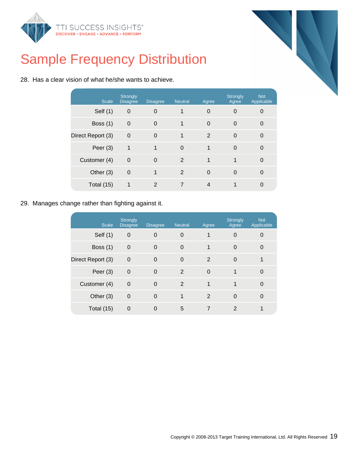



|  |  |  |  |  |  |  |  |  |  | 28. Has a clear vision of what he/she wants to achieve. |
|--|--|--|--|--|--|--|--|--|--|---------------------------------------------------------|
|--|--|--|--|--|--|--|--|--|--|---------------------------------------------------------|

| <b>Scale</b>      | <b>Strongly</b><br><b>Disagree</b> | <b>Disagree</b> | <b>Neutral</b> | Agree    | Strongly<br>Agree | <b>Not</b><br>Applicable |
|-------------------|------------------------------------|-----------------|----------------|----------|-------------------|--------------------------|
| Self (1)          | $\mathbf 0$                        | $\overline{0}$  |                | 0        | $\Omega$          | 0                        |
| Boss $(1)$        | $\mathbf 0$                        | $\Omega$        | 1              | 0        | $\overline{0}$    | 0                        |
| Direct Report (3) | $\mathbf 0$                        | $\Omega$        | $\mathbf 1$    | 2        | $\Omega$          | $\Omega$                 |
| Peer $(3)$        | 1                                  | 1               | $\overline{0}$ | 1        | $\Omega$          | $\overline{0}$           |
| Customer (4)      | $\mathbf 0$                        | $\Omega$        | $\overline{2}$ | 1        | 1                 | $\Omega$                 |
| Other $(3)$       | $\mathbf 0$                        | 1               | 2              | $\Omega$ | $\Omega$          | $\Omega$                 |
| Total (15)        |                                    | 2               | $\overline{7}$ | 4        |                   | 0                        |
|                   |                                    |                 |                |          |                   |                          |

29. Manages change rather than fighting against it.

| <b>Scale</b>      | <b>Strongly</b><br><b>Disagree</b> | <b>Disagree</b> | <b>Neutral</b> | Agree    | <b>Strongly</b><br>Agree | <b>Not</b><br>Applicable |
|-------------------|------------------------------------|-----------------|----------------|----------|--------------------------|--------------------------|
| Self $(1)$        | $\mathbf 0$                        | $\overline{0}$  | $\overline{0}$ | 1        | $\Omega$                 |                          |
| <b>Boss (1)</b>   | $\mathbf 0$                        | $\mathbf 0$     | $\mathbf 0$    | 1        | $\Omega$                 | $\Omega$                 |
| Direct Report (3) | $\mathbf 0$                        | $\Omega$        | $\mathbf 0$    | 2        | $\Omega$                 |                          |
| Peer $(3)$        | $\mathbf 0$                        | $\Omega$        | 2              | $\Omega$ | 1                        | $\Omega$                 |
| Customer (4)      | $\mathbf 0$                        | $\Omega$        | 2              | 1        | 1                        | $\Omega$                 |
| Other $(3)$       | $\mathbf 0$                        | $\Omega$        | 1              | 2        | $\Omega$                 | $\Omega$                 |
| Total (15)        | 0                                  | $\Omega$        | 5              |          | $\mathcal{P}$            |                          |